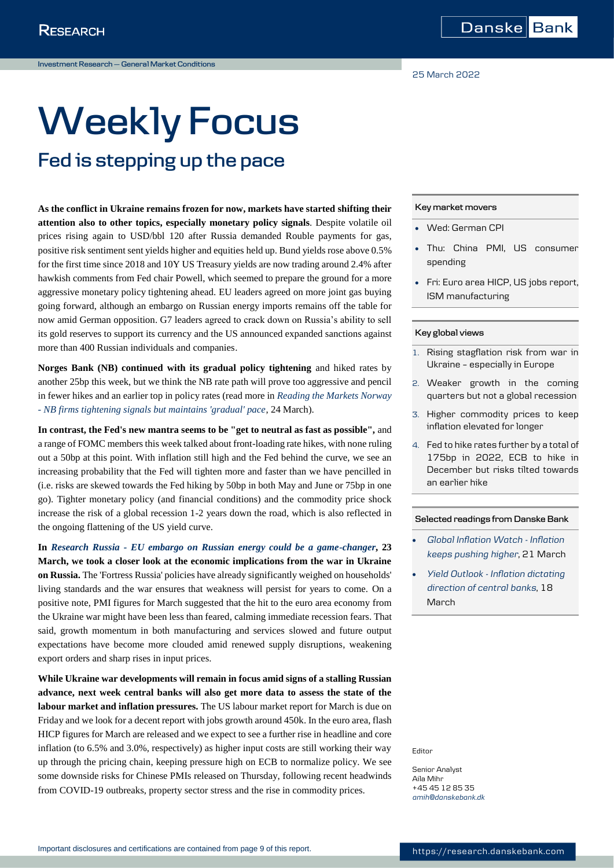25 March 2022

# **Weekly Focus Fed is stepping up the pace**

## **As the conflict in Ukraine remains frozen for now, markets have started shifting their attention also to other topics, especially monetary policy signals**. Despite volatile oil prices rising again to USD/bbl 120 after Russia demanded Rouble payments for gas, positive risk sentiment sent yields higher and equities held up. Bund yields rose above 0.5% for the first time since 2018 and 10Y US Treasury yields are now trading around 2.4% after hawkish comments from Fed chair Powell, which seemed to prepare the ground for a more aggressive monetary policy tightening ahead. EU leaders agreed on more joint gas buying going forward, although an embargo on Russian energy imports remains off the table for now amid German opposition. G7 leaders agreed to crack down on Russia's ability to sell its gold reserves to support its currency and the US announced expanded sanctions against more than 400 Russian individuals and companies.

**Norges Bank (NB) continued with its gradual policy tightening** and hiked rates by another 25bp this week, but we think the NB rate path will prove too aggressive and pencil in fewer hikes and an earlier top in policy rates (read more in *[Reading the Markets Norway](https://research.danskebank.com/research/#/Research/article/cff3c11e-b983-4c2c-9bf2-2d45f1a9a641/EN)  - [NB firms tightening signals but maintains 'gradual' pace](https://research.danskebank.com/research/#/Research/article/cff3c11e-b983-4c2c-9bf2-2d45f1a9a641/EN)*, 24 March).

**In contrast, the Fed's new mantra seems to be "get to neutral as fast as possible",** and a range of FOMC members this week talked about front-loading rate hikes, with none ruling out a 50bp at this point. With inflation still high and the Fed behind the curve, we see an increasing probability that the Fed will tighten more and faster than we have pencilled in (i.e. risks are skewed towards the Fed hiking by 50bp in both May and June or 75bp in one go). Tighter monetary policy (and financial conditions) and the commodity price shock increase the risk of a global recession 1-2 years down the road, which is also reflected in the ongoing flattening of the US yield curve.

**In** *Research Russia - [EU embargo on Russian energy could be a game-changer](https://research.danskebank.com/research/#/Research/article/386ca134-0659-4a7f-b565-ae02774dae22/EN)***, 23 March, we took a closer look at the economic implications from the war in Ukraine on Russia.** The 'Fortress Russia' policies have already significantly weighed on households' living standards and the war ensures that weakness will persist for years to come. On a positive note, PMI figures for March suggested that the hit to the euro area economy from the Ukraine war might have been less than feared, calming immediate recession fears. That said, growth momentum in both manufacturing and services slowed and future output expectations have become more clouded amid renewed supply disruptions, weakening export orders and sharp rises in input prices.

**While Ukraine war developments will remain in focus amid signs of a stalling Russian advance, next week central banks will also get more data to assess the state of the labour market and inflation pressures.** The US labour market report for March is due on Friday and we look for a decent report with jobs growth around 450k. In the euro area, flash HICP figures for March are released and we expect to see a further rise in headline and core inflation (to 6.5% and 3.0%, respectively) as higher input costs are still working their way up through the pricing chain, keeping pressure high on ECB to normalize policy. We see some downside risks for Chinese PMIs released on Thursday, following recent headwinds from COVID-19 outbreaks, property sector stress and the rise in commodity prices.

## **Key market movers**

- Wed: German CPI
- Thu: China PMI, US consumer spending
- Fri: Euro area HICP, US jobs report, ISM manufacturing

## **Key global views**

- 1. Rising stagflation risk from war in Ukraine – especially in Europe
- 2. Weaker growth in the coming quarters but not a global recession
- 3. Higher commodity prices to keep inflation elevated for longer
- 4. Fed to hike rates further by a total of 175bp in 2022, ECB to hike in December but risks tilted towards an earlier hike

## **Selected readings from Danske Bank**

- *[Global Inflation Watch -](https://research.danskebank.com/research/#/Research/article/6deaa527-5106-4831-8c3e-ee68caffb2a8/EN) Inflation [keeps pushing higher](https://research.danskebank.com/research/#/Research/article/6deaa527-5106-4831-8c3e-ee68caffb2a8/EN)*, 21 March
- *Yield Outlook - [Inflation dictating](https://research.danskebank.com/research/#/Research/article/bdca651f-829d-4321-8834-d80497d6b814/EN) [direction of central banks](https://research.danskebank.com/research/#/Research/article/bdca651f-829d-4321-8834-d80497d6b814/EN)*, 18 March

Editor

Senior Analyst Aila Mihr +45 45 12 85 35 *[amih@danskebank.dk](mailto:amih@danskebank.dk)*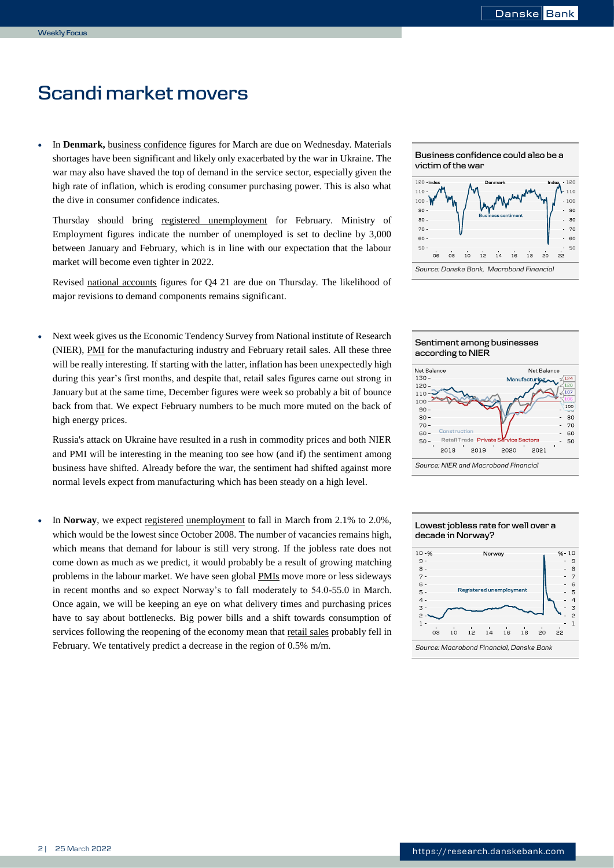## *0B***Scandi market movers**

 In **Denmark,** business confidence figures for March are due on Wednesday. Materials shortages have been significant and likely only exacerbated by the war in Ukraine. The war may also have shaved the top of demand in the service sector, especially given the high rate of inflation, which is eroding consumer purchasing power. This is also what the dive in consumer confidence indicates.

Thursday should bring registered unemployment for February. Ministry of Employment figures indicate the number of unemployed is set to decline by 3,000 between January and February, which is in line with our expectation that the labour market will become even tighter in 2022.

Revised national accounts figures for Q4 21 are due on Thursday. The likelihood of major revisions to demand components remains significant.

 Next week gives us the Economic Tendency Survey from National institute of Research (NIER), PMI for the manufacturing industry and February retail sales. All these three will be really interesting. If starting with the latter, inflation has been unexpectedly high during this year's first months, and despite that, retail sales figures came out strong in January but at the same time, December figures were week so probably a bit of bounce back from that. We expect February numbers to be much more muted on the back of high energy prices.

Russia's attack on Ukraine have resulted in a rush in commodity prices and both NIER and PMI will be interesting in the meaning too see how (and if) the sentiment among business have shifted. Already before the war, the sentiment had shifted against more normal levels expect from manufacturing which has been steady on a high level.

 In **Norway**, we expect registered unemployment to fall in March from 2.1% to 2.0%, which would be the lowest since October 2008. The number of vacancies remains high, which means that demand for labour is still very strong. If the jobless rate does not come down as much as we predict, it would probably be a result of growing matching problems in the labour market. We have seen global PMIs move more or less sideways in recent months and so expect Norway's to fall moderately to 54.0-55.0 in March. Once again, we will be keeping an eye on what delivery times and purchasing prices have to say about bottlenecks. Big power bills and a shift towards consumption of services following the reopening of the economy mean that retail sales probably fell in February. We tentatively predict a decrease in the region of 0.5% m/m.





## **Sentiment among businesses according to NIER**



## *Source: NIER and Macrobond Financial*

## **Lowest jobless rate for well over a decade in Norway?**

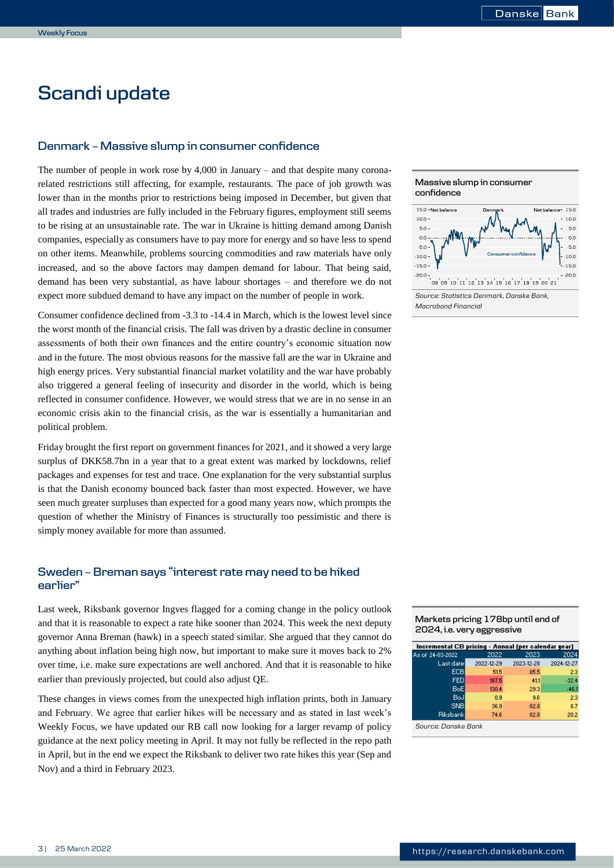## **Scandi update**

## **Denmark – Massive slump in consumer confidence**

The number of people in work rose by  $4,000$  in January – and that despite many coronarelated restrictions still affecting, for example, restaurants. The pace of job growth was lower than in the months prior to restrictions being imposed in December, but given that all trades and industries are fully included in the February figures, employment still seems to be rising at an unsustainable rate. The war in Ukraine is hitting demand among Danish companies, especially as consumers have to pay more for energy and so have less to spend on other items. Meanwhile, problems sourcing commodities and raw materials have only increased, and so the above factors may dampen demand for labour. That being said, demand has been very substantial, as have labour shortages – and therefore we do not expect more subdued demand to have any impact on the number of people in work.

Consumer confidence declined from -3.3 to -14.4 in March, which is the lowest level since the worst month of the financial crisis. The fall was driven by a drastic decline in consumer assessments of both their own finances and the entire country's economic situation now and in the future. The most obvious reasons for the massive fall are the war in Ukraine and high energy prices. Very substantial financial market volatility and the war have probably also triggered a general feeling of insecurity and disorder in the world, which is being reflected in consumer confidence. However, we would stress that we are in no sense in an economic crisis akin to the financial crisis, as the war is essentially a humanitarian and political problem.

Friday brought the first report on government finances for 2021, and it showed a very large surplus of DKK58.7bn in a year that to a great extent was marked by lockdowns, relief packages and expenses for test and trace. One explanation for the very substantial surplus is that the Danish economy bounced back faster than most expected. However, we have seen much greater surpluses than expected for a good many years now, which prompts the question of whether the Ministry of Finances is structurally too pessimistic and there is simply money available for more than assumed.

## **Sweden – Breman says "interest rate may need to be hiked earlier"**

Last week, Riksbank governor Ingves flagged for a coming change in the policy outlook and that it is reasonable to expect a rate hike sooner than 2024. This week the next deputy governor Anna Breman (hawk) in a speech stated similar. She argued that they cannot do anything about inflation being high now, but important to make sure it moves back to 2% over time, i.e. make sure expectations are well anchored. And that it is reasonable to hike earlier than previously projected, but could also adjust QE.

These changes in views comes from the unexpected high inflation prints, both in January and February. We agree that earlier hikes will be necessary and as stated in last week's Weekly Focus, we have updated our RB call now looking for a larger revamp of policy guidance at the next policy meeting in April. It may not fully be reflected in the repo path in April, but in the end we expect the Riksbank to deliver two rate hikes this year (Sep and Nov) and a third in February 2023.





| Markets pricing 178bp until end of |
|------------------------------------|
| 2024, i.e. very aggressive         |

| Incremental CB pricing - Annual (per calendar year) |            |            |            |
|-----------------------------------------------------|------------|------------|------------|
| As of 24-03-2022                                    | 2022       | 2023       | 2024       |
| Last datel                                          | 2022-12-29 | 2023-12-28 | 2024-12-27 |
| ECB                                                 | 51.5       | 85.5       | 2.3        |
| <b>FED</b>                                          | 187.5      | 41.1       | $-32.4$    |
| BoEl                                                | 130.4      | 29.3       | $-46.1$    |
| BoJ                                                 | 0.9        | 9.6        | 2.3        |
| <b>SNB</b>                                          | 36.9       | 82.8       | 8.7        |
| Riksbankl                                           | 74.6       | 82.8       | 20.2       |
| $\circ$ $\circ$ $\circ$ $\circ$ $\circ$ $\circ$     |            |            |            |

*Source: Danske Bank*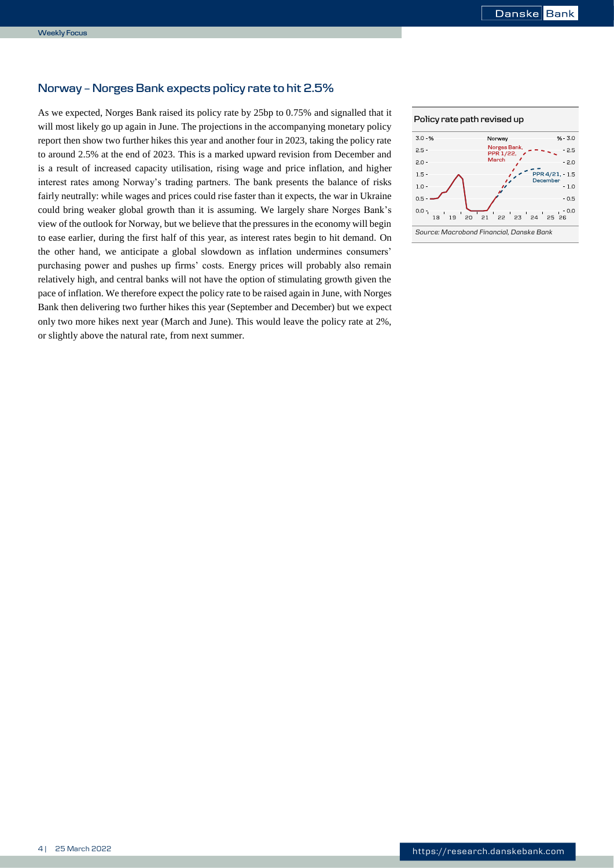## **Norway – Norges Bank expects policy rate to hit 2.5%**

As we expected, Norges Bank raised its policy rate by 25bp to 0.75% and signalled that it will most likely go up again in June. The projections in the accompanying monetary policy report then show two further hikes this year and another four in 2023, taking the policy rate to around 2.5% at the end of 2023. This is a marked upward revision from December and is a result of increased capacity utilisation, rising wage and price inflation, and higher interest rates among Norway's trading partners. The bank presents the balance of risks fairly neutrally: while wages and prices could rise faster than it expects, the war in Ukraine could bring weaker global growth than it is assuming. We largely share Norges Bank's view of the outlook for Norway, but we believe that the pressures in the economy will begin to ease earlier, during the first half of this year, as interest rates begin to hit demand. On the other hand, we anticipate a global slowdown as inflation undermines consumers' purchasing power and pushes up firms' costs. Energy prices will probably also remain relatively high, and central banks will not have the option of stimulating growth given the pace of inflation. We therefore expect the policy rate to be raised again in June, with Norges Bank then delivering two further hikes this year (September and December) but we expect only two more hikes next year (March and June). This would leave the policy rate at 2%, or slightly above the natural rate, from next summer.



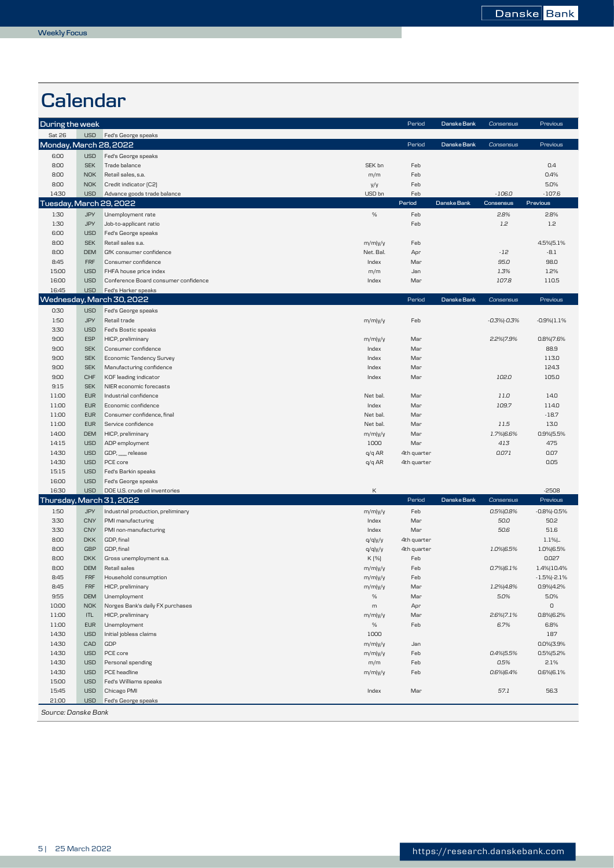## **Calendar**

| During the week         |                          |                                              |                      | Period      | Danske Bank | Consensus        | Previous            |
|-------------------------|--------------------------|----------------------------------------------|----------------------|-------------|-------------|------------------|---------------------|
| Sat 26                  | <b>USD</b>               | Fed's George speaks                          |                      |             |             |                  |                     |
| Monday, March 28, 2022  |                          |                                              |                      | Period      | Danske Bank | Consensus        | Previous            |
| 6:00                    | <b>USD</b>               | Fed's George speaks                          |                      |             |             |                  |                     |
| 8:00                    | <b>SEK</b>               | Trade balance                                | SEK bn               | Feb         |             |                  | 0.4                 |
| 8:00                    | <b>NOK</b>               | Retail sales, s.a.                           | m/m                  | Feb         |             |                  | 0.4%                |
| 8:00                    | <b>NOK</b>               | Credit indicator [C2]                        | y/y                  | Feb         |             |                  | 5.0%                |
| 14:30                   | <b>USD</b>               | Advance goods trade balance                  | USD bn               | Feb         |             | $-106.0$         | $-107.6$            |
| Tuesday, March 29, 2022 |                          |                                              |                      | Period      | Danske Bank | Consensus        | Previous            |
| 1:30                    | <b>JPY</b>               | Unemployment rate                            | $\%$                 | Feb         |             | 2.8%             | 2.8%                |
| 1:30                    | <b>JPY</b>               | Job-to-applicant ratio                       |                      | Feb         |             | 1.2              | 1.2                 |
| 6:00                    | <b>USD</b>               | Fed's George speaks                          |                      |             |             |                  |                     |
| 8:00<br>8:00            | <b>SEK</b><br><b>DEM</b> | Retail sales s.a.<br>GfK consumer confidence | m/m y/y<br>Net. Bal. | Feb<br>Apr  |             | $-12$            | 4.5% 5.1%<br>$-8.1$ |
| 8:45                    | <b>FRF</b>               | Consumer confidence                          | Index                | Mar         |             | 95.0             | 98.0                |
| 15:00                   | <b>USD</b>               | FHFA house price index                       | m/m                  | Jan         |             | 1.3%             | 1.2%                |
| 16:00                   | <b>USD</b>               | Conference Board consumer confidence         | Index                | Mar         |             | 107.8            | 110.5               |
| 16:45                   | <b>USD</b>               | Fed's Harker speaks                          |                      |             |             |                  |                     |
|                         |                          | Wednesday, March 30, 2022                    |                      | Period      | Danske Bank | Consensus        | Previous            |
| 0:30                    | <b>USD</b>               | Fed's George speaks                          |                      |             |             |                  |                     |
| 1:50                    | <b>JPY</b>               | Retail trade                                 | m/m y/y              | Feb         |             | $-0.3%$ $-0.3%$  | $-0.9%$   1.1%      |
| 3:30                    | <b>USD</b>               | Fed's Bostic speaks                          |                      |             |             |                  |                     |
| 9:00                    | <b>ESP</b>               | HICP, preliminary                            | m/m y/y              | Mar         |             | 2.2% 7.9%        | 0.8% 7.6%           |
| 9:00                    | <b>SEK</b>               | Consumer confidence                          | Index                | Mar         |             |                  | 88.9                |
| 9:00                    | <b>SEK</b>               | Economic Tendency Survey                     | Index                | Mar         |             |                  | 113.0               |
| 9:00                    | <b>SEK</b>               | Manufacturing confidence                     | Index                | Mar         |             |                  | 124.3               |
| 9:00                    | CHF                      | KOF leading indicator                        | Index                | Mar         |             | 102.0            | 105.0               |
| 9:15                    | <b>SEK</b>               | NIER economic forecasts                      |                      |             |             |                  |                     |
| 11:00                   | <b>EUR</b>               | Industrial confidence                        | Net bal.             | Mar         |             | 11.0             | 14.0                |
| 11:00                   | <b>EUR</b>               | Economic confidence                          | Index                | Mar         |             | 109.7            | 114.0               |
| 11:00                   | <b>EUR</b>               | Consumer confidence, final                   | Net bal.             | Mar         |             |                  | $-18.7$             |
| 11:00                   | <b>EUR</b>               | Service confidence                           | Net bal.             | Mar         |             | 11.5             | 13.0                |
| 14:00<br>14:15          | <b>DEM</b><br><b>USD</b> | HICP, preliminary                            | m/m y/y<br>1000      | Mar<br>Mar  |             | 1.7% 6.6%<br>413 | 0.9% 5.5%<br>475    |
| 14:30                   | <b>USD</b>               | ADP employment<br>GDP, release               | $q/q$ AR             | 4th quarter |             | 0.071            | 0.07                |
| 14:30                   | <b>USD</b>               | PCE core                                     | q/q AR               | 4th quarter |             |                  | 0.05                |
| 15:15                   | <b>USD</b>               | Fed's Barkin speaks                          |                      |             |             |                  |                     |
| 16:00                   | <b>USD</b>               | Fed's George speaks                          |                      |             |             |                  |                     |
| 16:30                   | <b>USD</b>               | DOE U.S. crude oil inventories               | К                    |             |             |                  | $-2508$             |
|                         |                          | Thursday, March 31, 2022                     |                      | Period      | Danske Bank | Consensus        | Previous            |
| 1:50                    | <b>JPY</b>               | Industrial production, preliminary           | m/m y/y              | Feb         |             | 0.5% 0.8%        | $-0.8% -0.5%$       |
| 3:30                    | <b>CNY</b>               | PMI manufacturing                            | Index                | Mar         |             | 50.0             | 50.2                |
| 3:30                    | <b>CNY</b>               | PMI non-manufacturing                        | Index                | Mar         |             | 50.6             | 51.6                |
| 8:00                    | <b>DKK</b>               | GDP, final                                   | q/qly/y              | 4th quarter |             |                  | $1.1%$              |
| 8:00                    | GBP                      | GDP, final                                   | q/qly/y              | 4th quarter |             | 1.0% 6.5%        | 1.0% 6.5%           |
| 8:00                    | <b>DKK</b>               | Gross unemployment s.a.                      | K [%]                | Feb         |             |                  | 0.027               |
| 8:00                    | <b>DEM</b>               | Retail sales                                 | m/m y/y              | Feb         |             | $0.7\%$ 6.1%     | 1.4% 10.4%          |
| 8:45                    | <b>FRF</b>               | Household consumption                        | m/m y/y              | Feb         |             |                  | $-1.5% -2.1%$       |
| 8:45                    | <b>FRF</b>               | HICP, preliminary                            | m/mly/y              | Mar         |             | 1.2% 4.8%        | 0.9% 4.2%           |
| 9:55                    | <b>DEM</b>               | Unemployment                                 | $\%$                 | Mar         |             | 5.0%             | 5.0%                |
| 10:00                   | NOK                      | Norges Bank's daily FX purchases             | m                    | Apr         |             |                  | $\mathsf O$         |
| 11:00                   | ITL                      | HICP, preliminary                            | m/m y/y              | Mar         |             | 2.6% 7.1%        | 0.8% 6.2%           |
| 11:00                   | <b>EUR</b>               | Unemployment                                 | %                    | Feb         |             | 6.7%             | 6.8%                |
| 14:30<br>14:30          | <b>USD</b><br>CAD        | Initial jobless claims<br>GDP                | 1000                 | Jan         |             |                  | 187<br>0.0% 3.9%    |
| 14:30                   | <b>USD</b>               | PCE core                                     | m/m y/y              | Feb         |             | 0.4% 5.5%        | 0.5% 5.2%           |
| 14:30                   | <b>USD</b>               | Personal spending                            | m/m y/y<br>m/m       | Feb         |             | 0.5%             | 2.1%                |
| 14:30                   | <b>USD</b>               | PCE headline                                 | m/mly/y              | Feb         |             | 0.6% 6.4%        | 0.6% 6.1%           |
| 15:00                   | <b>USD</b>               | Fed's Williams speaks                        |                      |             |             |                  |                     |
| 15:45                   | <b>USD</b>               | Chicago PMI                                  | Index                | Mar         |             | 57.1             | 56.3                |
| 21:00                   | <b>USD</b>               | Fed's George speaks                          |                      |             |             |                  |                     |
| Source: Danske Bank     |                          |                                              |                      |             |             |                  |                     |
|                         |                          |                                              |                      |             |             |                  |                     |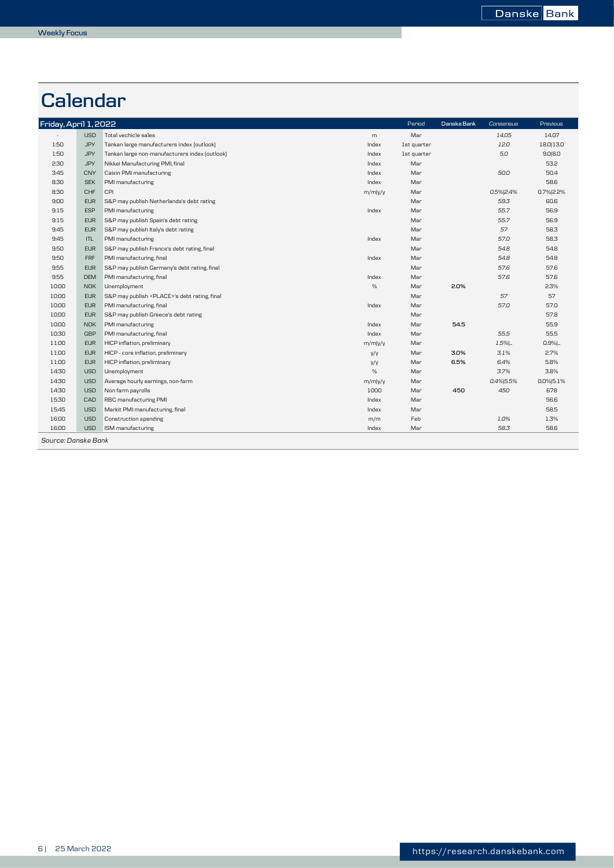## **Calendar**

| Friday, April 1, 2022 |            |                                                      |         | Period      | Danske Bank | Consensus | Previous  |
|-----------------------|------------|------------------------------------------------------|---------|-------------|-------------|-----------|-----------|
|                       | <b>USD</b> | Total vechicle sales                                 | m       | Mar         |             | 14.05     | 14.07     |
| 1:50                  | <b>JPY</b> | Tankan large manufacturers index (outlook)           | Index   | 1st quarter |             | 12.0      | 18.0 13.0 |
| 1:50                  | <b>JPY</b> | Tankan large non-manufacturers index (outlook)       | Index   | 1st quarter |             | 5.0       | 9.0 8.0   |
| 2:30                  | <b>JPY</b> | Nikkei Manufacturing PMI, final                      | Index   | Mar         |             |           | 53.2      |
| 3:45                  | <b>CNY</b> | Caixin PMI manufacturing                             | Index   | Mar         |             | 50.0      | 50.4      |
| 8:30                  | <b>SEK</b> | PMI manufacturing                                    | Index   | Mar         |             |           | 58.6      |
| 8:30                  | CHF        | CPI                                                  | m/m y/y | Mar         |             | 0.5% 2.4% | 0.7% 2.2% |
| 9:00                  | <b>EUR</b> | S&P may publish Netherlands's debt rating            |         | Mar         |             | 59.3      | 60.6      |
| 9:15                  | <b>ESP</b> | PMI manufacturing                                    | Index   | Mar         |             | 55.7      | 56.9      |
| 9:15                  | <b>EUR</b> | S&P may publish Spain's debt rating                  |         | Mar         |             | 55.7      | 56.9      |
| 9:45                  | <b>EUR</b> | S&P may publish Italy's debt rating                  |         | Mar         |             | 57        | 58.3      |
| 9:45                  | <b>ITL</b> | PMI manufacturing                                    | Index   | Mar         |             | 57.0      | 58.3      |
| 9:50                  | <b>EUR</b> | S&P may publish France's debt rating, final          |         | Mar         |             | 54.8      | 54.8      |
| 9:50                  | <b>FRF</b> | PMI manufacturing, final                             | Index   | Mar         |             | 54.8      | 54.8      |
| 9:55                  | <b>EUR</b> | S&P may publish Germany's debt rating, final         |         | Mar         |             | 57.6      | 57.6      |
| 9:55                  | <b>DEM</b> | PMI manufacturing, final                             | Index   | Mar         |             | 57.6      | 57.6      |
| 10:00                 | <b>NOK</b> | Unemployment                                         | %       | Mar         | 2.0%        |           | 2.3%      |
| 10:00                 | <b>EUR</b> | S&P may publish <place>'s debt rating, final</place> |         | Mar         |             | 57        | 57        |
| 10:00                 | <b>EUR</b> | PMI manufacturing, final                             | Index   | Mar         |             | 57.0      | 57.0      |
| 10:00                 | <b>EUR</b> | S&P may publish Greece's debt rating                 |         | Mar         |             |           | 57.8      |
| 10:00                 | <b>NOK</b> | PMI manufacturing                                    | Index   | Mar         | 54.5        |           | 55.9      |
| 10:30                 | GBP        | PMI manufacturing, final                             | Index   | Mar         |             | 55.5      | 55.5      |
| 11:00                 | <b>EUR</b> | HICP inflation, preliminary                          | m/m y/y | Mar         |             | $1.5%$ .  | $0.9%$    |
| 11:00                 | <b>EUR</b> | HICP - core inflation, preliminary                   | y/y     | Mar         | 3.0%        | 3.1%      | 2.7%      |
| 11:00                 | <b>EUR</b> | HICP inflation, preliminary                          | y/y     | Mar         | 6.5%        | 6.4%      | 5.8%      |
| 14:30                 | <b>USD</b> | Unemployment                                         | %       | Mar         |             | 3.7%      | 3.8%      |
| 14:30                 | <b>USD</b> | Average hourly earnings, non-farm                    | m/m y/y | Mar         |             | 0.4% 5.5% | 0.0% 5.1% |
| 14:30                 | <b>USD</b> | Non farm payrolls                                    | 1000    | Mar         | 450         | 450       | 678       |
| 15:30                 | CAD        | RBC manufacturing PMI                                | Index   | Mar         |             |           | 56.6      |
| 15:45                 | <b>USD</b> | Markit PMI manufacturing, final                      | Index   | Mar         |             |           | 58.5      |
| 16:00                 | <b>USD</b> | Construction spending                                | m/m     | Feb         |             | 1.0%      | 1.3%      |
| 16:00                 | <b>USD</b> | ISM manufacturing                                    | Index   | Mar         |             | 58.3      | 58.6      |
| Source: Danske Bank   |            |                                                      |         |             |             |           |           |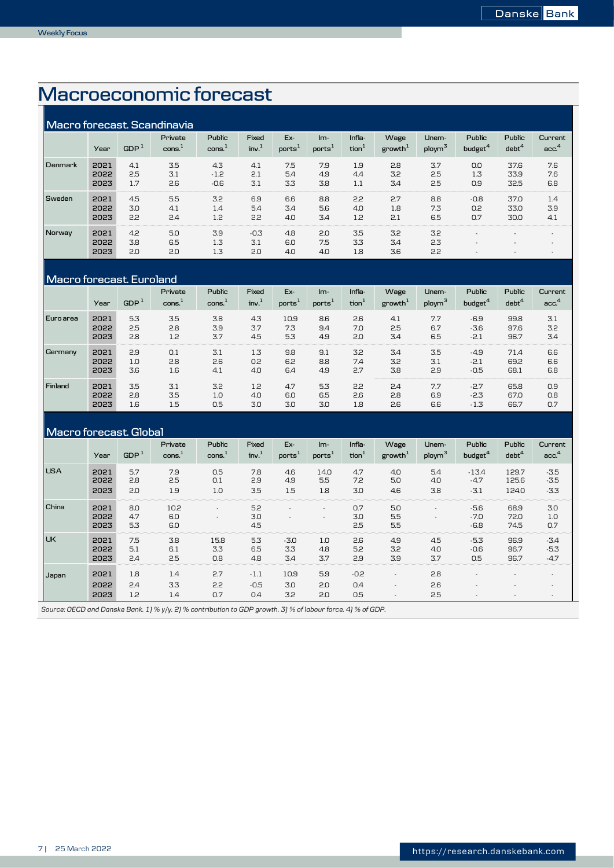## *4B***Macroeconomic forecast**

| Macro forecast. Scandinavia |                      |                   |                   |                                  |                            |                           |                             |                             |                             |                             |                                      |                      |                             |
|-----------------------------|----------------------|-------------------|-------------------|----------------------------------|----------------------------|---------------------------|-----------------------------|-----------------------------|-----------------------------|-----------------------------|--------------------------------------|----------------------|-----------------------------|
|                             | Year                 | GDP <sup>1</sup>  | Private<br>cons.  | Public<br>$\text{cons.}^{\perp}$ | Fixed<br>inv. <sup>1</sup> | Ex-<br>ports <sup>1</sup> | $Im-$<br>ports <sup>:</sup> | Infla-<br>tion <sup>1</sup> | Wage<br>growth <sup>1</sup> | Unem-<br>ploym <sup>3</sup> | <b>Public</b><br>budget <sup>4</sup> | Public<br>$debt^4$   | Current<br>acc <sup>4</sup> |
| Denmark                     | 2021<br>2022<br>2023 | 4.1<br>2.5<br>1.7 | 3.5<br>3.1<br>2.6 | 4.3<br>$-1.2$<br>$-0.6$          | 4.1<br>2.1<br>3.1          | 7.5<br>5.4<br>3.3         | 7.9<br>4.9<br>3.8           | 1.9<br>4.4<br>1.1           | 2.8<br>3.2<br>3.4           | 3.7<br>2.5<br>2.5           | 0.0<br>1.3<br>0.9                    | 37.6<br>33.9<br>32.5 | 7.6<br>7.6<br>6.8           |
| Sweden                      | 2021<br>2022<br>2023 | 4.5<br>3.0<br>2.2 | 5.5<br>4.1<br>2.4 | 3.2<br>1.4<br>1.2                | 6.9<br>5.4<br>2.2          | 6.6<br>3.4<br>4.0         | 8.8<br>5.6<br>3.4           | 2.2<br>4.0<br>1.2           | 2.7<br>1.8<br>2.1           | 8.8<br>7.3<br>6.5           | $-0.8$<br>0.2<br>0.7                 | 37.0<br>33.0<br>30.0 | 1.4<br>3.9<br>4.1           |
| Norway                      | 2021<br>2022<br>2023 | 4.2<br>3.8<br>2.0 | 5.0<br>6.5<br>2.0 | 3.9<br>1.3<br>1.3                | $-0.3$<br>3.1<br>2.0       | 4.8<br>6.0<br>4.0         | 2.0<br>7.5<br>4.0           | 3.5<br>3.3<br>1.8           | 3.2<br>3.4<br>3.6           | 3.2<br>2.3<br>2.2           |                                      |                      |                             |

## **Macro forecast. Euroland**

|           | Year | GDP <sup>1</sup> | Private<br>cons. | Public<br>cons. | Fixed<br>inv <sup>1</sup> | Ex-<br>ports <sup>1</sup> | $Im-$<br>ports | Infla-<br>tion <sup>1</sup> | Wage<br>growth <sup>1</sup> | Unem-<br>ploym <sup>3</sup> | Public<br>budget $^4$ | Public<br>debt <sup>4</sup> | Current<br>acc <sup>4</sup> |
|-----------|------|------------------|------------------|-----------------|---------------------------|---------------------------|----------------|-----------------------------|-----------------------------|-----------------------------|-----------------------|-----------------------------|-----------------------------|
| Euro area | 2021 | 5.3              | 3.5              | 3.8             | 4.3                       | 10.9                      | 8.6            | 2.6                         | 4.1                         | 7.7                         | $-6.9$                | 99.8                        | 3.1                         |
|           | 2022 | 2.5              | 2.8              | 3.9             | 3.7                       | 7.3                       | 9.4            | 7.0                         | 2.5                         | 6.7                         | $-3.6$                | 97.6                        | 3.2                         |
|           | 2023 | 2.8              | 1.2              | 3.7             | 4.5                       | 5.3                       | 4.9            | 2.0                         | 3.4                         | 6.5                         | $-2.1$                | 96.7                        | 3.4                         |
| Germany   | 2021 | 2.9              | 0.1              | 3.1             | 1.3                       | 9.8                       | 9.1            | 3.2                         | 3.4                         | 3.5                         | $-4.9$                | 71.4                        | 6.6                         |
|           | 2022 | 1.0              | 2.8              | 2.6             | 0.2                       | 6.2                       | 8.8            | 7.4                         | 3.2                         | 3.1                         | $-2.1$                | 69.2                        | 6.6                         |
|           | 2023 | 3.6              | 1.6              | 4.1             | 4.0                       | 6.4                       | 4.9            | 2.7                         | 3.8                         | 2.9                         | $-0.5$                | 68.1                        | 6.8                         |
| Finland   | 2021 | 3.5              | 3.1              | 3.2             | 1.2                       | 4.7                       | 5.3            | 2.2                         | 2.4                         | 7.7                         | $-2.7$                | 65.8                        | 0.9                         |
|           | 2022 | 2.8              | 3.5              | 1.0             | 4.0                       | 6.0                       | 6.5            | 2.6                         | 2.8                         | 6.9                         | $-2.3$                | 67.0                        | 0.8                         |
|           | 2023 | 1.6              | 1.5              | 0.5             | 3.0                       | 3.0                       | 3.0            | 1.8                         | 2.6                         | 6.6                         | $-1.3$                | 66.7                        | 0.7                         |

#### **Macro forecast. Global USA 2021** 5.7 7.9 0.5 7.8 4.6 14.0 4.7 4.0 5.4 -13.4 129.7 -3.5 **2022** 2.8 2.5 0.1 2.9 4.9 5.5 7.2 5.0 4.0 -4.7 125.6 -3.5 **2023** 2.0 1.9 1.0 3.5 1.5 1.8 3.0 4.6 3.8 -3.1 124.0 -3.3 **China 2021** 8.0 10.2 - 5.2 - - 0.7 5.0 - -5.6 68.9 3.0 **2022** 4.7 6.0 - 3.0 - - 3.0 5.5 - -7.0 72.0 1.0 **2023** 5.3 6.0 4.5 2.5 5.5 -6.8 74.5 0.7 **UK 2021** 7.5 3.8 15.8 5.3 -3.0 1.0 2.6 4.9 4.5 -5.3 96.9 -3.4 **2022** 5.1 6.1 3.3 6.5 3.3 4.8 5.2 3.2 4.0 -0.6 96.7 -5.3 **2023** 2.4 2.5 0.8 4.8 3.4 3.7 2.9 3.9 3.7 0.5 96.7 -4.7 **Japan 2021** 1.8 1.4 2.7 -1.1 10.9 5.9 -0.2 - 2.8 - - - **2022** 2.4 3.3 2.2 -0.5 3.0 2.0 0.4 - 2.6 - - - **2023** 1.2 1.4 0.7 0.4 3.2 2.0 0.5 - 2.5 - - - **Current acc.<sup>4</sup> Imports<sup>1</sup> Inflation<sup>1</sup> Unemploym<sup>3</sup> Wage growth<sup>1</sup> Public budget<sup>4</sup> Public debt<sup>4</sup> Year GDP<sup>1</sup> Private cons.<sup>1</sup> Public cons.<sup>1</sup> Fixed inv.<sup>1</sup> Exports<sup>1</sup>**

*Source: OECD and Danske Bank. 1) % y/y. 2) % contribution to GDP growth. 3) % of labour force. 4) % of GDP.*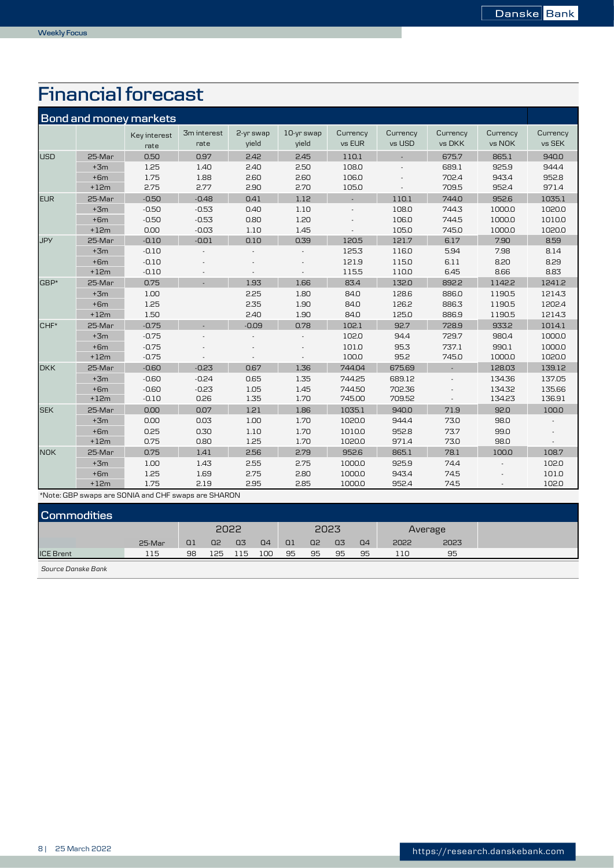## *5B***Financial forecast**

|            |        | <b>Bond and money markets</b> |                     |                    |                     |                    |                    |                    |                    |                    |
|------------|--------|-------------------------------|---------------------|--------------------|---------------------|--------------------|--------------------|--------------------|--------------------|--------------------|
|            |        | Key interest<br>rate          | 3m interest<br>rate | 2-yr swap<br>vield | 10-yr swap<br>vield | Currency<br>vs EUR | Currency<br>vs USD | Currency<br>vs DKK | Currency<br>vs NOK | Currency<br>vs SEK |
| <b>USD</b> | 25-Mar | 0.50                          | 0.97                | 2.42               | 2.45                | 110.1              | ä,                 | 675.7              | 865.1              | 940.0              |
|            | $+3m$  | 1.25                          | 1.40                | 2.40               | 2.50                | 108.0              |                    | 689.1              | 925.9              | 944.4              |
|            | $+6m$  | 1.75                          | 1.88                | 2.60               | 2.60                | 106.0              |                    | 702.4              | 943.4              | 952.8              |
|            | $+12m$ | 2.75                          | 2.77                | 2.90               | 2.70                | 105.0              |                    | 709.5              | 952.4              | 971.4              |
| <b>EUR</b> | 25-Mar | $-0.50$                       | $-0.48$             | 0.41               | 1.12                |                    | 110.1              | 744.0              | 952.6              | 1035.1             |
|            | $+3m$  | $-0.50$                       | $-0.53$             | 0.40               | 1.10                |                    | 108.0              | 744.3              | 1000.0             | 1020.0             |
|            | $+6m$  | $-0.50$                       | $-0.53$             | 0.80               | 1.20                |                    | 106.0              | 744.5              | 1000.0             | 1010.0             |
|            | $+12m$ | 0.00                          | $-0.03$             | 1.10               | 1.45                |                    | 105.0              | 745.0              | 1000.0             | 1020.0             |
| <b>JPY</b> | 25-Mar | $-0.10$                       | $-0.01$             | 0.10               | 0.39                | 120.5              | 121.7              | 6.17               | 7.90               | 8.59               |
|            | $+3m$  | $-0.10$                       |                     |                    |                     | 125.3              | 116.0              | 5.94               | 7.98               | 8.14               |
|            | $+6m$  | $-0.10$                       |                     |                    |                     | 121.9              | 115.0              | 6.11               | 8.20               | 8.29               |
|            | $+12m$ | $-0.10$                       |                     |                    |                     | 115.5              | 110.0              | 6.45               | 8.66               | 8.83               |
| GBP*       | 25-Mar | 0.75                          |                     | 1.93               | 1.66                | 83.4               | 132.0              | 892.2              | 1142.2             | 1241.2             |
|            | $+3m$  | 1.00                          |                     | 2.25               | 1.80                | 84.0               | 128.6              | 886.0              | 1190.5             | 1214.3             |
|            | $+6m$  | 1.25                          |                     | 2.35               | 1.90                | 84.0               | 126.2              | 886.3              | 1190.5             | 1202.4             |
|            | $+12m$ | 1.50                          |                     | 2.40               | 1.90                | 84.0               | 125.0              | 886.9              | 1190.5             | 1214.3             |
| CHF*       | 25-Mar | $-0.75$                       |                     | $-0.09$            | 0.78                | 102.1              | 92.7               | 728.9              | 933.2              | 1014.1             |
|            | $+3m$  | $-0.75$                       |                     |                    |                     | 102.0              | 94.4               | 729.7              | 980.4              | 1000.0             |
|            | $+6m$  | $-0.75$                       |                     |                    |                     | 101.0              | 95.3               | 737.1              | 990.1              | 1000.0             |
|            | $+12m$ | $-0.75$                       |                     |                    |                     | 100.0              | 95.2               | 745.0              | 1000.0             | 1020.0             |
| <b>DKK</b> | 25-Mar | $-0.60$                       | $-0.23$             | 0.67               | 1.36                | 744.04             | 675.69             |                    | 128.03             | 139.12             |
|            | $+3m$  | $-0.60$                       | $-0.24$             | 0.65               | 1.35                | 744.25             | 689.12             |                    | 134.36             | 137.05             |
|            | $+6m$  | $-0.60$                       | $-0.23$             | 1.05               | 1.45                | 744.50             | 702.36             |                    | 134.32             | 135.66             |
|            | $+12m$ | $-0.10$                       | 0.26                | 1.35               | 1.70                | 745.00             | 709.52             |                    | 134.23             | 136.91             |
| <b>SEK</b> | 25-Mar | 0.00                          | 0.07                | 1.21               | 1.86                | 1035.1             | 940.0              | 71.9               | 92.0               | 100.0              |
|            | $+3m$  | 0.00                          | 0.03                | 1.00               | 1.70                | 1020.0             | 944.4              | 73.0               | 98.0               |                    |
|            | $+6m$  | 0.25                          | 0.30                | 1.10               | 1.70                | 1010.0             | 952.8              | 73.7               | 99.0               |                    |
|            | $+12m$ | 0.75                          | 0.80                | 1.25               | 1.70                | 1020.0             | 971.4              | 73.0               | 98.0               |                    |
| <b>NOK</b> | 25-Mar | 0.75                          | 1.41                | 2.56               | 2.79                | 952.6              | 865.1              | 78.1               | 100.0              | 108.7              |
|            | $+3m$  | 1.00                          | 1.43                | 2.55               | 2.75                | 1000.0             | 925.9              | 74.4               |                    | 102.0              |
|            | $+6m$  | 1.25                          | 1.69                | 2.75               | 2.80                | 1000.0             | 943.4              | 74.5               |                    | 101.0              |
|            | $+12m$ | 1.75                          | 2.19                | 2.95               | 2.85                | 1000.0             | 952.4              | 74.5               |                    | 102.0              |

\*Note: GBP swaps are SONIA and CHF swaps are SHARON

| <b>Commodities</b> |        |                |                |                |                |                |                |    |                |      |      |
|--------------------|--------|----------------|----------------|----------------|----------------|----------------|----------------|----|----------------|------|------|
|                    |        | 2022           |                |                | 2023           |                |                |    | Average        |      |      |
|                    | 25-Mar | Q <sub>1</sub> | Q <sub>2</sub> | Q <sub>3</sub> | Q <sub>4</sub> | Q <sub>1</sub> | Q <sub>2</sub> | 03 | Q <sub>4</sub> | 2022 | 2023 |
| <b>ICE Brent</b>   | 115    | 98             | 125            | 115            | 100            | 95             | 95             | 95 | 95             | 110  | 95   |

*Source Danske Bank*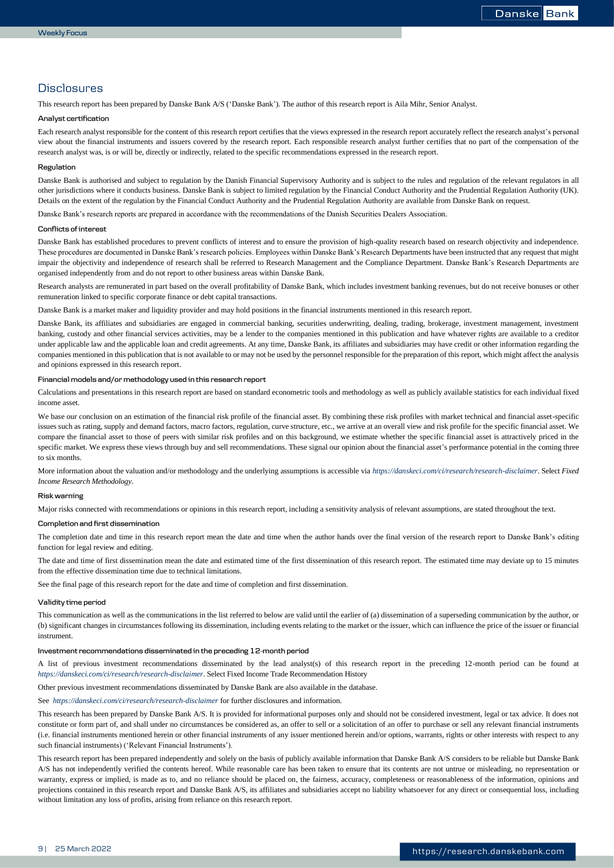## **Disclosures**

This research report has been prepared by Danske Bank A/S ('Danske Bank'). The author of this research report is Aila Mihr, Senior Analyst.

### **Analyst certification**

Each research analyst responsible for the content of this research report certifies that the views expressed in the research report accurately reflect the research analyst's personal view about the financial instruments and issuers covered by the research report. Each responsible research analyst further certifies that no part of the compensation of the research analyst was, is or will be, directly or indirectly, related to the specific recommendations expressed in the research report.

### **Regulation**

Danske Bank is authorised and subject to regulation by the Danish Financial Supervisory Authority and is subject to the rules and regulation of the relevant regulators in all other jurisdictions where it conducts business. Danske Bank is subject to limited regulation by the Financial Conduct Authority and the Prudential Regulation Authority (UK). Details on the extent of the regulation by the Financial Conduct Authority and the Prudential Regulation Authority are available from Danske Bank on request.

Danske Bank's research reports are prepared in accordance with the recommendations of the Danish Securities Dealers Association.

### **Conflicts of interest**

Danske Bank has established procedures to prevent conflicts of interest and to ensure the provision of high-quality research based on research objectivity and independence. These procedures are documented in Danske Bank's research policies. Employees within Danske Bank's Research Departments have been instructed that any request that might impair the objectivity and independence of research shall be referred to Research Management and the Compliance Department. Danske Bank's Research Departments are organised independently from and do not report to other business areas within Danske Bank.

Research analysts are remunerated in part based on the overall profitability of Danske Bank, which includes investment banking revenues, but do not receive bonuses or other remuneration linked to specific corporate finance or debt capital transactions.

Danske Bank is a market maker and liquidity provider and may hold positions in the financial instruments mentioned in this research report.

Danske Bank, its affiliates and subsidiaries are engaged in commercial banking, securities underwriting, dealing, trading, brokerage, investment management, investment banking, custody and other financial services activities, may be a lender to the companies mentioned in this publication and have whatever rights are available to a creditor under applicable law and the applicable loan and credit agreements. At any time, Danske Bank, its affiliates and subsidiaries may have credit or other information regarding the companies mentioned in this publication that is not available to or may not be used by the personnel responsible for the preparation of this report, which might affect the analysis and opinions expressed in this research report.

## **Financial models and/or methodology used in this research report**

Calculations and presentations in this research report are based on standard econometric tools and methodology as well as publicly available statistics for each individual fixed income asset.

We base our conclusion on an estimation of the financial risk profile of the financial asset. By combining these risk profiles with market technical and financial asset-specific issues such as rating, supply and demand factors, macro factors, regulation, curve structure, etc., we arrive at an overall view and risk profile for the specific financial asset. We compare the financial asset to those of peers with similar risk profiles and on this background, we estimate whether the specific financial asset is attractively priced in the specific market. We express these views through buy and sell recommendations. These signal our opinion about the financial asset's performance potential in the coming three to six months.

More information about the valuation and/or methodology and the underlying assumptions is accessible via *<https://danskeci.com/ci/research/research-disclaimer>*. Select *Fixed Income Research Methodology*.

### **Risk warning**

Major risks connected with recommendations or opinions in this research report, including a sensitivity analysis of relevant assumptions, are stated throughout the text.

## **Completion and first dissemination**

The completion date and time in this research report mean the date and time when the author hands over the final version of the research report to Danske Bank's editing function for legal review and editing.

The date and time of first dissemination mean the date and estimated time of the first dissemination of this research report. The estimated time may deviate up to 15 minutes from the effective dissemination time due to technical limitations.

See the final page of this research report for the date and time of completion and first dissemination.

## **Validity time period**

This communication as well as the communications in the list referred to below are valid until the earlier of (a) dissemination of a superseding communication by the author, or (b) significant changes in circumstances following its dissemination, including events relating to the market or the issuer, which can influence the price of the issuer or financial instrument.

### **Investment recommendations disseminated in the preceding 12-month period**

A list of previous investment recommendations disseminated by the lead analyst(s) of this research report in the preceding 12-month period can be found at *<https://danskeci.com/ci/research/research-disclaimer>*. Select Fixed Income Trade Recommendation History

Other previous investment recommendations disseminated by Danske Bank are also available in the database.

See *[https://danskeci.com/ci/research/research-disclaimer](http://www.danskebank.com/en-uk/ci/Products-Services/Markets/Research/Pages/researchdisclaimer.aspx.)* for further disclosures and information.

This research has been prepared by Danske Bank A/S. It is provided for informational purposes only and should not be considered investment, legal or tax advice. It does not constitute or form part of, and shall under no circumstances be considered as, an offer to sell or a solicitation of an offer to purchase or sell any relevant financial instruments (i.e. financial instruments mentioned herein or other financial instruments of any issuer mentioned herein and/or options, warrants, rights or other interests with respect to any such financial instruments) ('Relevant Financial Instruments').

This research report has been prepared independently and solely on the basis of publicly available information that Danske Bank A/S considers to be reliable but Danske Bank A/S has not independently verified the contents hereof. While reasonable care has been taken to ensure that its contents are not untrue or misleading, no representation or warranty, express or implied, is made as to, and no reliance should be placed on, the fairness, accuracy, completeness or reasonableness of the information, opinions and projections contained in this research report and Danske Bank A/S, its affiliates and subsidiaries accept no liability whatsoever for any direct or consequential loss, including without limitation any loss of profits, arising from reliance on this research report.